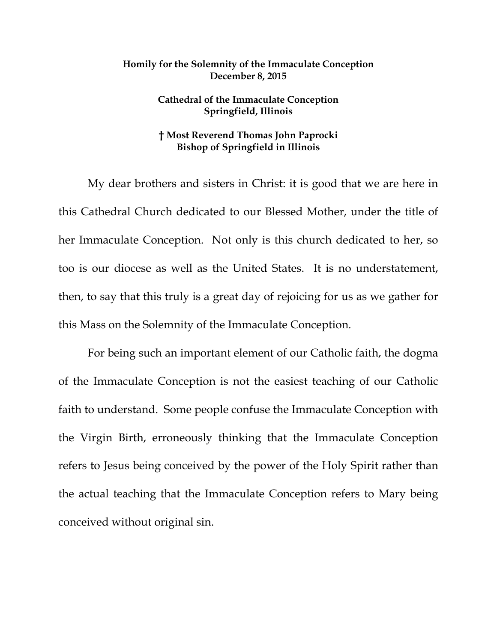## **Homily for the Solemnity of the Immaculate Conception December 8, 2015**

## **Cathedral of the Immaculate Conception Springfield, Illinois**

## **† Most Reverend Thomas John Paprocki Bishop of Springfield in Illinois**

 My dear brothers and sisters in Christ: it is good that we are here in this Cathedral Church dedicated to our Blessed Mother, under the title of her Immaculate Conception. Not only is this church dedicated to her, so too is our diocese as well as the United States. It is no understatement, then, to say that this truly is a great day of rejoicing for us as we gather for this Mass on the Solemnity of the Immaculate Conception.

 For being such an important element of our Catholic faith, the dogma of the Immaculate Conception is not the easiest teaching of our Catholic faith to understand. Some people confuse the Immaculate Conception with the Virgin Birth, erroneously thinking that the Immaculate Conception refers to Jesus being conceived by the power of the Holy Spirit rather than the actual teaching that the Immaculate Conception refers to Mary being conceived without original sin.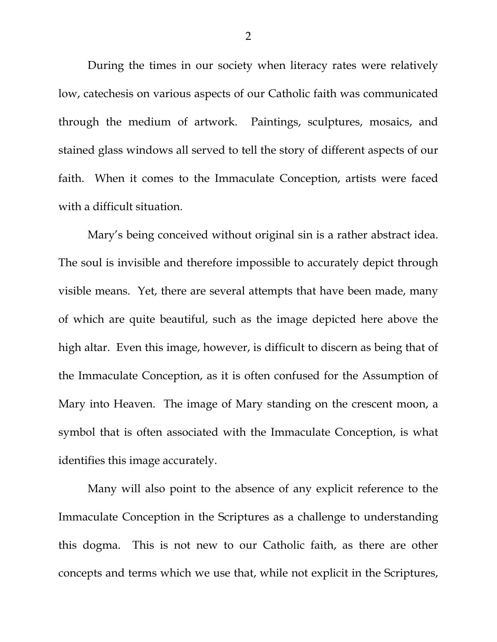During the times in our society when literacy rates were relatively low, catechesis on various aspects of our Catholic faith was communicated through the medium of artwork. Paintings, sculptures, mosaics, and stained glass windows all served to tell the story of different aspects of our faith. When it comes to the Immaculate Conception, artists were faced with a difficult situation.

 Mary's being conceived without original sin is a rather abstract idea. The soul is invisible and therefore impossible to accurately depict through visible means. Yet, there are several attempts that have been made, many of which are quite beautiful, such as the image depicted here above the high altar. Even this image, however, is difficult to discern as being that of the Immaculate Conception, as it is often confused for the Assumption of Mary into Heaven. The image of Mary standing on the crescent moon, a symbol that is often associated with the Immaculate Conception, is what identifies this image accurately.

 Many will also point to the absence of any explicit reference to the Immaculate Conception in the Scriptures as a challenge to understanding this dogma. This is not new to our Catholic faith, as there are other concepts and terms which we use that, while not explicit in the Scriptures,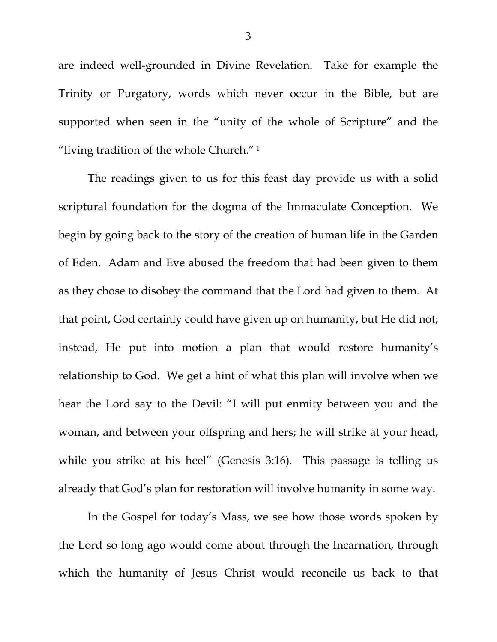are indeed well-grounded in Divine Revelation. Take for example the Trinity or Purgatory, words which never occur in the Bible, but are supported when seen in the "unity of the whole of Scripture" and the "living tradition of the whole Church." 1

The readings given to us for this feast day provide us with a solid scriptural foundation for the dogma of the Immaculate Conception. We begin by going back to the story of the creation of human life in the Garden of Eden. Adam and Eve abused the freedom that had been given to them as they chose to disobey the command that the Lord had given to them. At that point, God certainly could have given up on humanity, but He did not; instead, He put into motion a plan that would restore humanity's relationship to God. We get a hint of what this plan will involve when we hear the Lord say to the Devil: "I will put enmity between you and the woman, and between your offspring and hers; he will strike at your head, while you strike at his heel" (Genesis 3:16). This passage is telling us already that God's plan for restoration will involve humanity in some way.

In the Gospel for today's Mass, we see how those words spoken by the Lord so long ago would come about through the Incarnation, through which the humanity of Jesus Christ would reconcile us back to that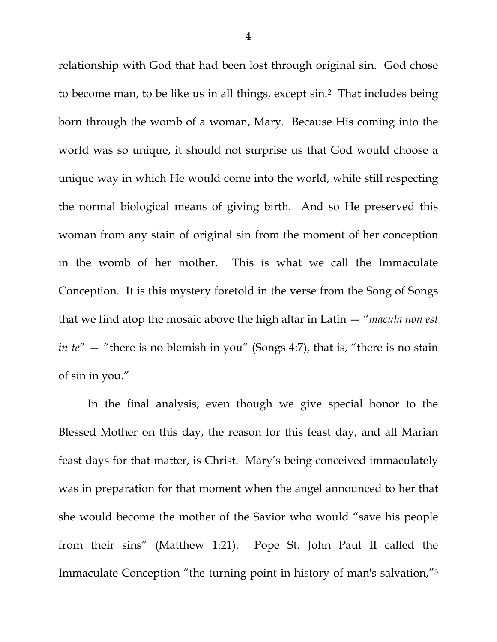relationship with God that had been lost through original sin. God chose to become man, to be like us in all things, except sin.2 That includes being born through the womb of a woman, Mary. Because His coming into the world was so unique, it should not surprise us that God would choose a unique way in which He would come into the world, while still respecting the normal biological means of giving birth. And so He preserved this woman from any stain of original sin from the moment of her conception in the womb of her mother. This is what we call the Immaculate Conception. It is this mystery foretold in the verse from the Song of Songs that we find atop the mosaic above the high altar in Latin — "*macula non est in te"* — "there is no blemish in you" (Songs 4:7), that is, "there is no stain of sin in you."

In the final analysis, even though we give special honor to the Blessed Mother on this day, the reason for this feast day, and all Marian feast days for that matter, is Christ. Mary's being conceived immaculately was in preparation for that moment when the angel announced to her that she would become the mother of the Savior who would "save his people from their sins" (Matthew 1:21). Pope St. John Paul II called the Immaculate Conception "the turning point in history of man's salvation,"3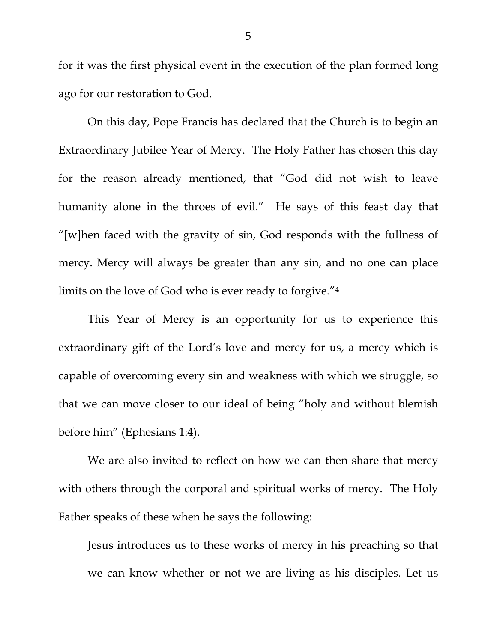for it was the first physical event in the execution of the plan formed long ago for our restoration to God.

On this day, Pope Francis has declared that the Church is to begin an Extraordinary Jubilee Year of Mercy. The Holy Father has chosen this day for the reason already mentioned, that "God did not wish to leave humanity alone in the throes of evil." He says of this feast day that "[w]hen faced with the gravity of sin, God responds with the fullness of mercy. Mercy will always be greater than any sin, and no one can place limits on the love of God who is ever ready to forgive."4

This Year of Mercy is an opportunity for us to experience this extraordinary gift of the Lord's love and mercy for us, a mercy which is capable of overcoming every sin and weakness with which we struggle, so that we can move closer to our ideal of being "holy and without blemish before him" (Ephesians 1:4).

We are also invited to reflect on how we can then share that mercy with others through the corporal and spiritual works of mercy. The Holy Father speaks of these when he says the following:

Jesus introduces us to these works of mercy in his preaching so that we can know whether or not we are living as his disciples. Let us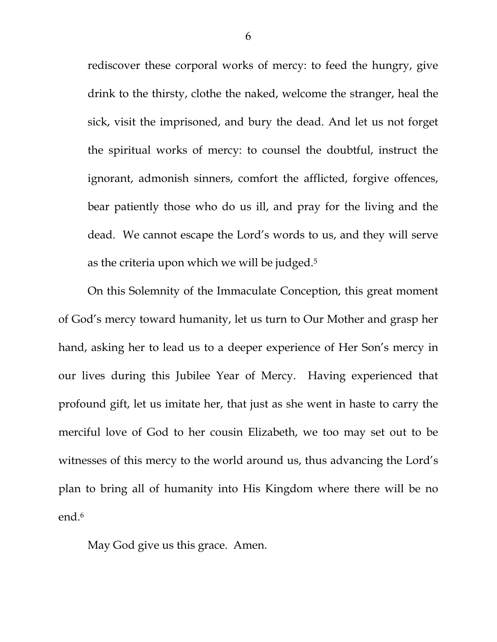rediscover these corporal works of mercy: to feed the hungry, give drink to the thirsty, clothe the naked, welcome the stranger, heal the sick, visit the imprisoned, and bury the dead. And let us not forget the spiritual works of mercy: to counsel the doubtful, instruct the ignorant, admonish sinners, comfort the afflicted, forgive offences, bear patiently those who do us ill, and pray for the living and the dead. We cannot escape the Lord's words to us, and they will serve as the criteria upon which we will be judged.5

 On this Solemnity of the Immaculate Conception, this great moment of God's mercy toward humanity, let us turn to Our Mother and grasp her hand, asking her to lead us to a deeper experience of Her Son's mercy in our lives during this Jubilee Year of Mercy. Having experienced that profound gift, let us imitate her, that just as she went in haste to carry the merciful love of God to her cousin Elizabeth, we too may set out to be witnesses of this mercy to the world around us, thus advancing the Lord's plan to bring all of humanity into His Kingdom where there will be no end.6

May God give us this grace. Amen.